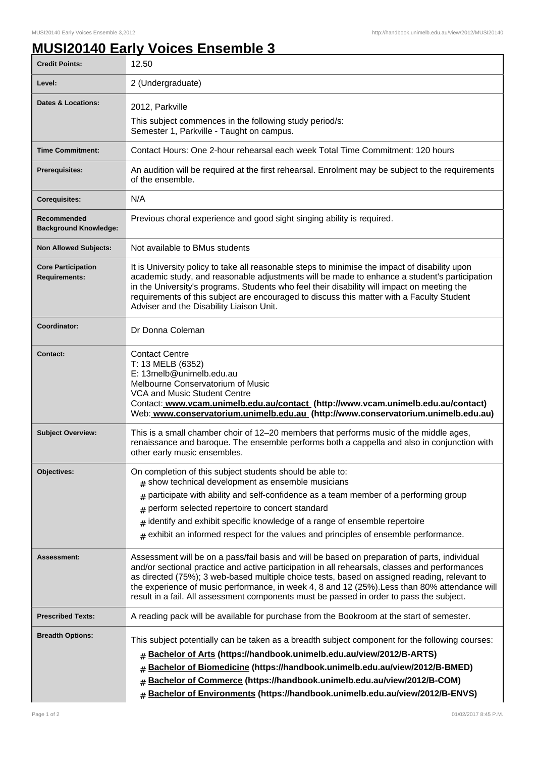## **MUSI20140 Early Voices Ensemble 3**

| <b>Credit Points:</b>                             | 12.50                                                                                                                                                                                                                                                                                                                                                                                                                                                                                        |
|---------------------------------------------------|----------------------------------------------------------------------------------------------------------------------------------------------------------------------------------------------------------------------------------------------------------------------------------------------------------------------------------------------------------------------------------------------------------------------------------------------------------------------------------------------|
| Level:                                            | 2 (Undergraduate)                                                                                                                                                                                                                                                                                                                                                                                                                                                                            |
| <b>Dates &amp; Locations:</b>                     | 2012, Parkville                                                                                                                                                                                                                                                                                                                                                                                                                                                                              |
|                                                   | This subject commences in the following study period/s:<br>Semester 1, Parkville - Taught on campus.                                                                                                                                                                                                                                                                                                                                                                                         |
| <b>Time Commitment:</b>                           | Contact Hours: One 2-hour rehearsal each week Total Time Commitment: 120 hours                                                                                                                                                                                                                                                                                                                                                                                                               |
| Prerequisites:                                    | An audition will be required at the first rehearsal. Enrolment may be subject to the requirements<br>of the ensemble.                                                                                                                                                                                                                                                                                                                                                                        |
| <b>Corequisites:</b>                              | N/A                                                                                                                                                                                                                                                                                                                                                                                                                                                                                          |
| Recommended<br><b>Background Knowledge:</b>       | Previous choral experience and good sight singing ability is required.                                                                                                                                                                                                                                                                                                                                                                                                                       |
| <b>Non Allowed Subjects:</b>                      | Not available to BMus students                                                                                                                                                                                                                                                                                                                                                                                                                                                               |
| <b>Core Participation</b><br><b>Requirements:</b> | It is University policy to take all reasonable steps to minimise the impact of disability upon<br>academic study, and reasonable adjustments will be made to enhance a student's participation<br>in the University's programs. Students who feel their disability will impact on meeting the<br>requirements of this subject are encouraged to discuss this matter with a Faculty Student<br>Adviser and the Disability Liaison Unit.                                                       |
| Coordinator:                                      | Dr Donna Coleman                                                                                                                                                                                                                                                                                                                                                                                                                                                                             |
| <b>Contact:</b>                                   | <b>Contact Centre</b><br>T: 13 MELB (6352)<br>E: 13melb@unimelb.edu.au<br>Melbourne Conservatorium of Music<br><b>VCA and Music Student Centre</b><br>Contact: www.vcam.unimelb.edu.au/contact (http://www.vcam.unimelb.edu.au/contact)<br>Web: www.conservatorium.unimelb.edu.au (http://www.conservatorium.unimelb.edu.au)                                                                                                                                                                 |
| <b>Subject Overview:</b>                          | This is a small chamber choir of 12-20 members that performs music of the middle ages,<br>renaissance and baroque. The ensemble performs both a cappella and also in conjunction with<br>other early music ensembles.                                                                                                                                                                                                                                                                        |
| <b>Objectives:</b>                                | On completion of this subject students should be able to:<br>$#$ show technical development as ensemble musicians<br>participate with ability and self-confidence as a team member of a performing group<br>#<br>perform selected repertoire to concert standard<br>#<br>identify and exhibit specific knowledge of a range of ensemble repertoire<br>#<br>exhibit an informed respect for the values and principles of ensemble performance.<br>#                                           |
| <b>Assessment:</b>                                | Assessment will be on a pass/fail basis and will be based on preparation of parts, individual<br>and/or sectional practice and active participation in all rehearsals, classes and performances<br>as directed (75%); 3 web-based multiple choice tests, based on assigned reading, relevant to<br>the experience of music performance, in week 4, 8 and 12 (25%). Less than 80% attendance will<br>result in a fail. All assessment components must be passed in order to pass the subject. |
| <b>Prescribed Texts:</b>                          | A reading pack will be available for purchase from the Bookroom at the start of semester.                                                                                                                                                                                                                                                                                                                                                                                                    |
| <b>Breadth Options:</b>                           | This subject potentially can be taken as a breadth subject component for the following courses:<br>Bachelor of Arts (https://handbook.unimelb.edu.au/view/2012/B-ARTS)<br>#<br>Bachelor of Biomedicine (https://handbook.unimelb.edu.au/view/2012/B-BMED)<br>#<br>Bachelor of Commerce (https://handbook.unimelb.edu.au/view/2012/B-COM)<br>#<br>Bachelor of Environments (https://handbook.unimelb.edu.au/view/2012/B-ENVS)                                                                 |